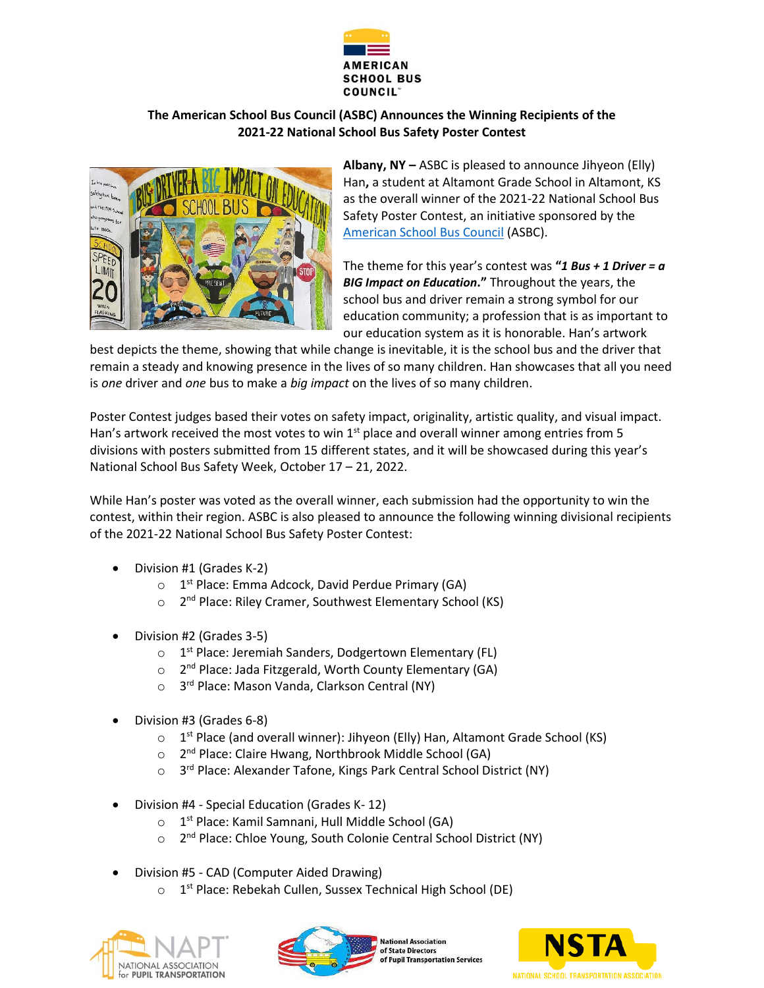

## **The American School Bus Council (ASBC) Announces the Winning Recipients of the 2021-22 National School Bus Safety Poster Contest**



**Albany, NY –** ASBC is pleased to announce Jihyeon (Elly) Han**,** a student at Altamont Grade School in Altamont, KS as the overall winner of the 2021-22 National School Bus Safety Poster Contest, an initiative sponsored by the [American School Bus Council](http://www.americanschoolbuscouncil.org/) (ASBC).

The theme for this year's contest was **"***1 Bus + 1 Driver = a BIG Impact on Education***."** Throughout the years, the school bus and driver remain a strong symbol for our education community; a profession that is as important to our education system as it is honorable. Han's artwork

best depicts the theme, showing that while change is inevitable, it is the school bus and the driver that remain a steady and knowing presence in the lives of so many children. Han showcases that all you need is *one* driver and *one* bus to make a *big impact* on the lives of so many children.

Poster Contest judges based their votes on safety impact, originality, artistic quality, and visual impact. Han's artwork received the most votes to win  $1<sup>st</sup>$  place and overall winner among entries from 5 divisions with posters submitted from 15 different states, and it will be showcased during this year's National School Bus Safety Week, October 17 – 21, 2022.

While Han's poster was voted as the overall winner, each submission had the opportunity to win the contest, within their region. ASBC is also pleased to announce the following winning divisional recipients of the 2021-22 National School Bus Safety Poster Contest:

- Division #1 (Grades K-2)
	- o 1<sup>st</sup> Place: Emma Adcock, David Perdue Primary (GA)
	- o 2<sup>nd</sup> Place: Riley Cramer, Southwest Elementary School (KS)
- Division #2 (Grades 3-5)
	- o 1<sup>st</sup> Place: Jeremiah Sanders, Dodgertown Elementary (FL)
	- o 2<sup>nd</sup> Place: Jada Fitzgerald, Worth County Elementary (GA)
	- o 3<sup>rd</sup> Place: Mason Vanda, Clarkson Central (NY)
- Division #3 (Grades 6-8)
	- o 1<sup>st</sup> Place (and overall winner): Jihyeon (Elly) Han, Altamont Grade School (KS)
	- o 2<sup>nd</sup> Place: Claire Hwang, Northbrook Middle School (GA)
	- 3<sup>rd</sup> Place: Alexander Tafone, Kings Park Central School District (NY)
- Division #4 Special Education (Grades K- 12)
	- o 1<sup>st</sup> Place: Kamil Samnani, Hull Middle School (GA)
	- 2<sup>nd</sup> Place: Chloe Young, South Colonie Central School District (NY)
- Division #5 CAD (Computer Aided Drawing)
	- o 1<sup>st</sup> Place: Rebekah Cullen, Sussex Technical High School (DE)